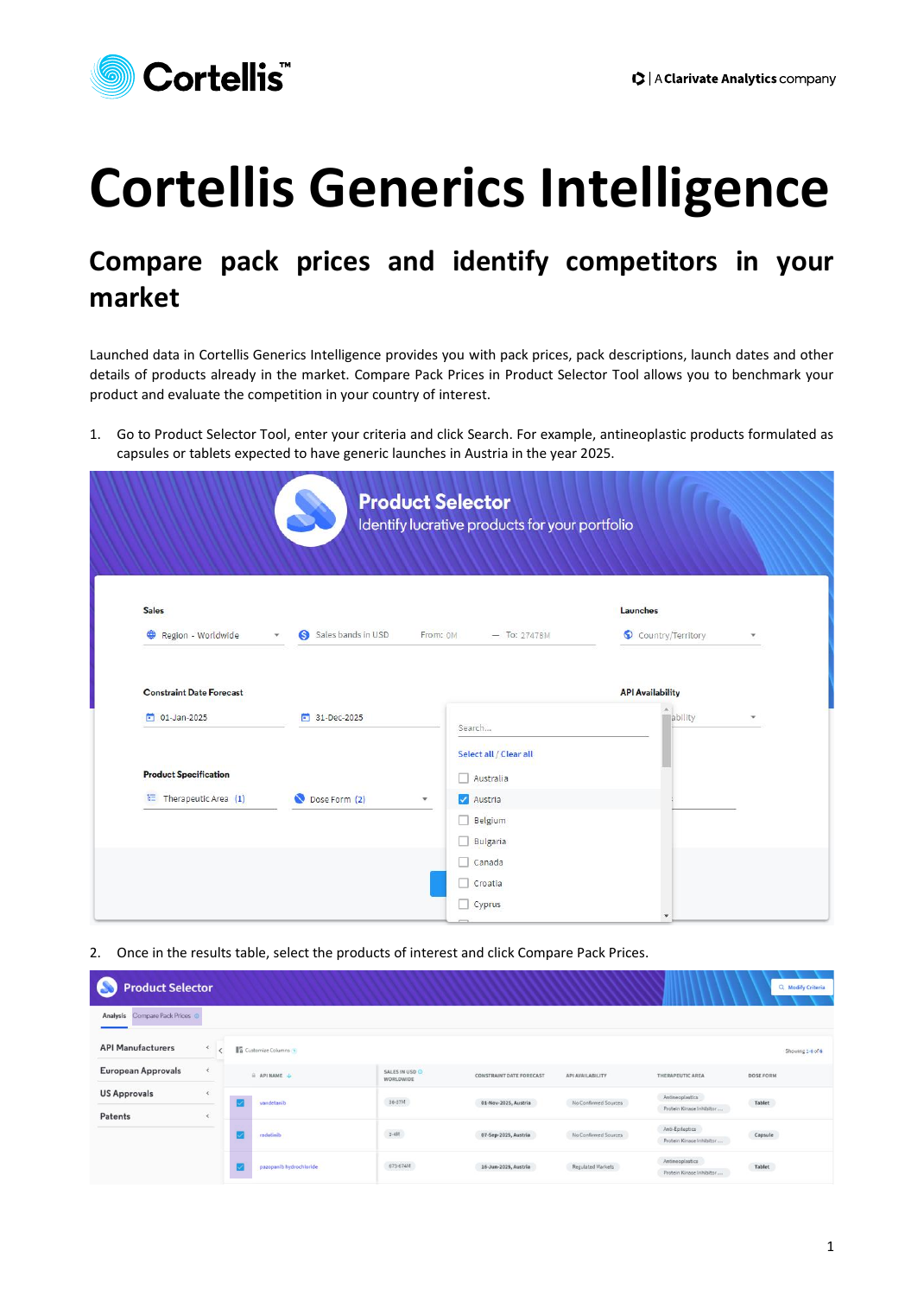

## **Cortellis Generics Intelligence**

## **Compare pack prices and identify competitors in your market**

Launched data in Cortellis Generics Intelligence provides you with pack prices, pack descriptions, launch dates and other details of products already in the market. Compare Pack Prices in Product Selector Tool allows you to benchmark your product and evaluate the competition in your country of interest.

1. Go to Product Selector Tool, enter your criteria and click Search. For example, antineoplastic products formulated as capsules or tablets expected to have generic launches in Austria in the year 2025.

| <b>Sales</b>                    |                               |                                     | Launches                |   |
|---------------------------------|-------------------------------|-------------------------------------|-------------------------|---|
| Region - Worldwide              | Sales bands in USD<br>G<br>v. | From: OM<br>$-$ To: 27478M          | Country/Territory       | ٠ |
| <b>Constraint Date Forecast</b> |                               |                                     | <b>API Availability</b> |   |
| $01$ -Jan-2025                  | 31-Dec-2025                   | Search                              | ability                 | ٠ |
| <b>Product Specification</b>    |                               | Select all / Clear all<br>Australia |                         |   |
| Therapeutic Area (1)            | Dose Form (2)                 | Austria<br>$\overline{\phantom{a}}$ |                         |   |
|                                 |                               | Belgium<br>$\overline{\phantom{a}}$ |                         |   |
|                                 |                               | Bulgaria                            |                         |   |

2. Once in the results table, select the products of interest and click Compare Pack Prices.

| <b>Product Selector</b><br>a   |                              |                             |                             |                                 |                      |                                             | Q Modify Criteria |
|--------------------------------|------------------------------|-----------------------------|-----------------------------|---------------------------------|----------------------|---------------------------------------------|-------------------|
| Analysis Compare Pack Prices © |                              |                             |                             |                                 |                      |                                             |                   |
| <b>API Manufacturers</b>       | $\left\langle \right\rangle$ | <b>16</b> Customize Columns |                             |                                 |                      |                                             | Showing 1-6 of 6  |
| <b>European Approvals</b>      | $\epsilon$                   | $A$ APINAME $\downarrow$    | SALES IN USD O<br>WORLDWIDE | <b>CONSTRAINT DATE FORECAST</b> | API AVAILABILITY     | THERAPEUTIC AREA                            | DOSE FORM         |
| <b>US Approvals</b><br>Patents | $\epsilon$<br>$\epsilon$     | vandetanib                  | $36 - 37M$                  | 01-Nov-2025, Austria            | No Confirmed Sources | Antineoplastics<br>Protein Kinase Inhibitor | $Table t$         |
|                                |                              | radotinib                   | $3\text{-}4\text{M}$        | 07-Sep-2025, Austria            | No Confirmed Sources | Anti-Epileptics<br>Protein Kinase Inhibitor | Capsule           |
|                                |                              | pazopanib hydrochloride     | 673-674M                    | 16-Jun-2025, Austria            | Regulated Markets    | Antineoplastics<br>Protein Kinase Inhibitor | Tablet            |